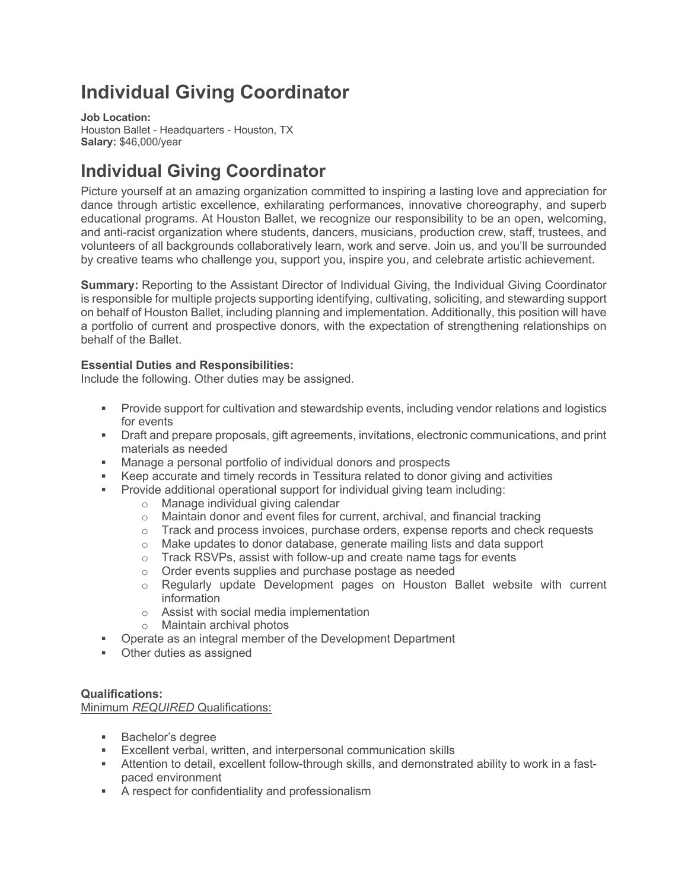# **Individual Giving Coordinator**

**Job Location:**  Houston Ballet - Headquarters - Houston, TX **Salary:** \$46,000/year

# **Individual Giving Coordinator**

Picture yourself at an amazing organization committed to inspiring a lasting love and appreciation for dance through artistic excellence, exhilarating performances, innovative choreography, and superb educational programs. At Houston Ballet, we recognize our responsibility to be an open, welcoming, and anti-racist organization where students, dancers, musicians, production crew, staff, trustees, and volunteers of all backgrounds collaboratively learn, work and serve. Join us, and you'll be surrounded by creative teams who challenge you, support you, inspire you, and celebrate artistic achievement.

**Summary:** Reporting to the Assistant Director of Individual Giving, the Individual Giving Coordinator is responsible for multiple projects supporting identifying, cultivating, soliciting, and stewarding support on behalf of Houston Ballet, including planning and implementation. Additionally, this position will have a portfolio of current and prospective donors, with the expectation of strengthening relationships on behalf of the Ballet.

# **Essential Duties and Responsibilities:**

Include the following. Other duties may be assigned.

- Provide support for cultivation and stewardship events, including vendor relations and logistics for events
- § Draft and prepare proposals, gift agreements, invitations, electronic communications, and print materials as needed
- Manage a personal portfolio of individual donors and prospects
- Keep accurate and timely records in Tessitura related to donor giving and activities
- § Provide additional operational support for individual giving team including:
	- o Manage individual giving calendar
	- $\circ$  Maintain donor and event files for current, archival, and financial tracking
	- $\circ$  Track and process invoices, purchase orders, expense reports and check requests
	- o Make updates to donor database, generate mailing lists and data support
	- o Track RSVPs, assist with follow-up and create name tags for events
	- o Order events supplies and purchase postage as needed
	- $\circ$  Regularly update Development pages on Houston Ballet website with current information
	- o Assist with social media implementation
	- o Maintain archival photos
- Operate as an integral member of the Development Department
- Other duties as assigned

# **Qualifications:**

Minimum *REQUIRED* Qualifications:

- § Bachelor's degree
- Excellent verbal, written, and interpersonal communication skills
- § Attention to detail, excellent follow-through skills, and demonstrated ability to work in a fastpaced environment
- A respect for confidentiality and professionalism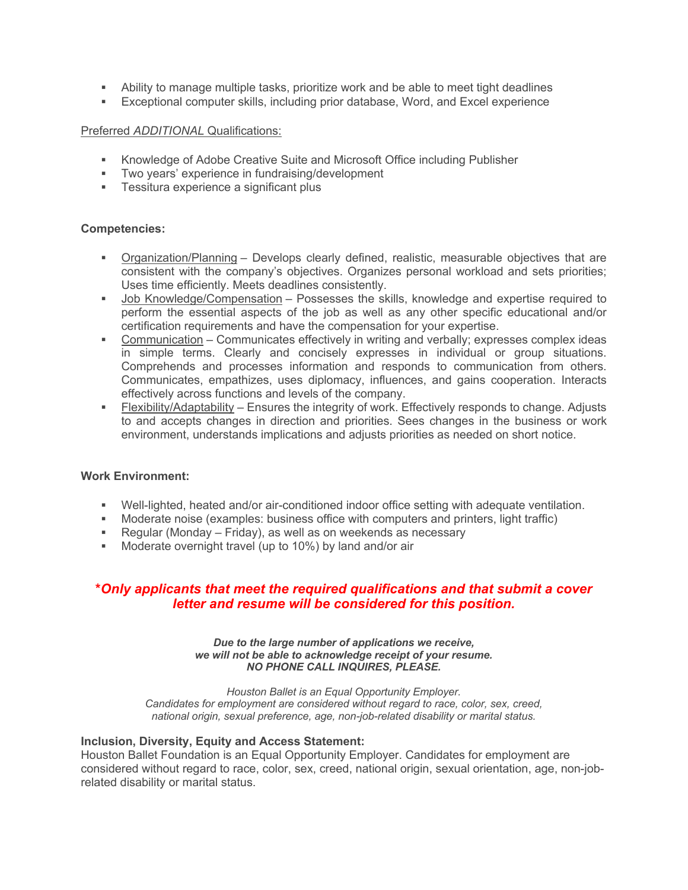- Ability to manage multiple tasks, prioritize work and be able to meet tight deadlines
- § Exceptional computer skills, including prior database, Word, and Excel experience

#### Preferred *ADDITIONAL* Qualifications:

- Knowledge of Adobe Creative Suite and Microsoft Office including Publisher
- § Two years' experience in fundraising/development
- Tessitura experience a significant plus

### **Competencies:**

- § Organization/Planning Develops clearly defined, realistic, measurable objectives that are consistent with the company's objectives. Organizes personal workload and sets priorities; Uses time efficiently. Meets deadlines consistently.
- § Job Knowledge/Compensation Possesses the skills, knowledge and expertise required to perform the essential aspects of the job as well as any other specific educational and/or certification requirements and have the compensation for your expertise.
- **Communication** Communicates effectively in writing and verbally; expresses complex ideas in simple terms. Clearly and concisely expresses in individual or group situations. Comprehends and processes information and responds to communication from others. Communicates, empathizes, uses diplomacy, influences, and gains cooperation. Interacts effectively across functions and levels of the company.
- **Flexibility/Adaptability Ensures the integrity of work. Effectively responds to change. Adjusts** to and accepts changes in direction and priorities. Sees changes in the business or work environment, understands implications and adjusts priorities as needed on short notice.

### **Work Environment:**

- § Well-lighted, heated and/or air-conditioned indoor office setting with adequate ventilation.
- § Moderate noise (examples: business office with computers and printers, light traffic)
- Regular (Monday Friday), as well as on weekends as necessary
- Moderate overnight travel (up to 10%) by land and/or air

# **\****Only applicants that meet the required qualifications and that submit a cover letter and resume will be considered for this position.*

#### *Due to the large number of applications we receive, we will not be able to acknowledge receipt of your resume. NO PHONE CALL INQUIRES, PLEASE.*

*Houston Ballet is an Equal Opportunity Employer. Candidates for employment are considered without regard to race, color, sex, creed, national origin, sexual preference, age, non-job-related disability or marital status.*

#### **Inclusion, Diversity, Equity and Access Statement:**

Houston Ballet Foundation is an Equal Opportunity Employer. Candidates for employment are considered without regard to race, color, sex, creed, national origin, sexual orientation, age, non-jobrelated disability or marital status.